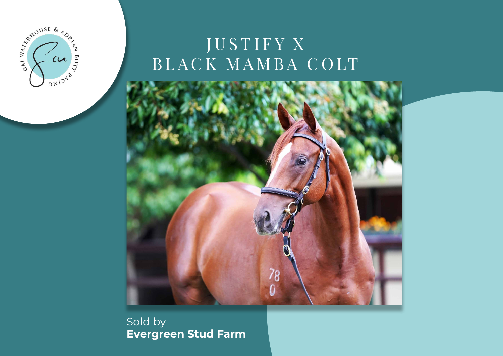

# JUSTIFY X BLACK MAMBA COLT



Sold by **Evergreen Stud Farm**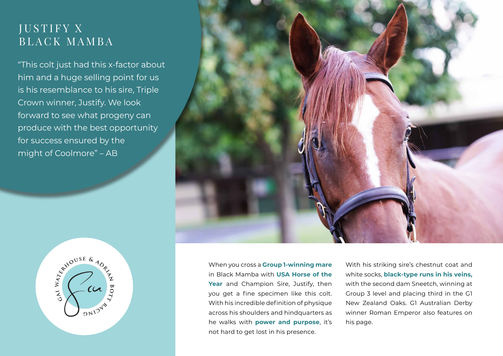## JUSTIFY X BLACK MAMBA

"This colt just had this x-factor about him and a huge selling point for us is his resemblance to his sire, Triple Crown winner, Justify. We look forward to see what progeny can produce with the best opportunity for success ensured by the might of Coolmore" – AB





When you cross a **Group 1-winning mare**  in Black Mamba with **USA Horse of the Year** and Champion Sire, Justify, then you get a fine specimen like this colt. With his incredible definition of physique across his shoulders and hindquarters as he walks with **power and purpose**, it's not hard to get lost in his presence.

With his striking sire's chestnut coat and white socks, **black-type runs in his veins,**  with the second dam Sneetch, winning at Group 3 level and placing third in the G1 New Zealand Oaks. G1 Australian Derby winner Roman Emperor also features on his page.